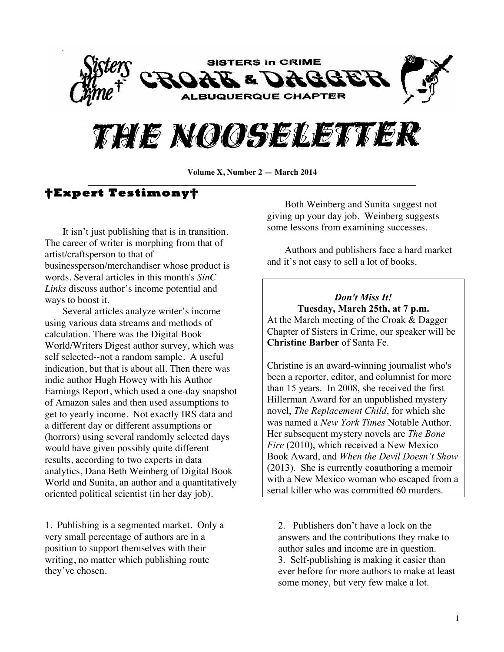



**Volume X, Number 2 — March 2014**

# **†Expert Testimony†**

It isn't just publishing that is in transition. The career of writer is morphing from that of artist/craftsperson to that of businessperson/merchandiser whose product is words. Several articles in this month's *SinC Links* discuss author's income potential and ways to boost it.

Several articles analyze writer's income using various data streams and methods of calculation. There was the Digital Book World/Writers Digest author survey, which was self selected--not a random sample. A useful indication, but that is about all. Then there was indie author Hugh Howey with his Author Earnings Report, which used a one-day snapshot of Amazon sales and then used assumptions to get to yearly income. Not exactly IRS data and a different day or different assumptions or (horrors) using several randomly selected days would have given possibly quite different results, according to two experts in data analytics, Dana Beth Weinberg of Digital Book World and Sunita, an author and a quantitatively oriented political scientist (in her day job).

1. Publishing is a segmented market. Only a very small percentage of authors are in a position to support themselves with their writing, no matter which publishing route they've chosen.

Both Weinberg and Sunita suggest not giving up your day job. Weinberg suggests some lessons from examining successes.

Authors and publishers face a hard market and it's not easy to sell a lot of books.

*Don't Miss It!* **Tuesday, March 25th, at 7 p.m.** At the March meeting of the Croak & Dagger Chapter of Sisters in Crime, our speaker will be **Christine Barber** of Santa Fe.

Christine is an award-winning journalist who's been a reporter, editor, and columnist for more than 15 years. In 2008, she received the first Hillerman Award for an unpublished mystery novel, *The Replacement Child*, for which she was named a *New York Times* Notable Author. Her subsequent mystery novels are *The Bone Fire* (2010), which received a New Mexico Book Award, and *When the Devil Doesn't Show* (2013). She is currently coauthoring a memoir with a New Mexico woman who escaped from a serial killer who was committed 60 murders.

2. Publishers don't have a lock on the answers and the contributions they make to author sales and income are in question. 3. Self-publishing is making it easier than ever before for more authors to make at least some money, but very few make a lot.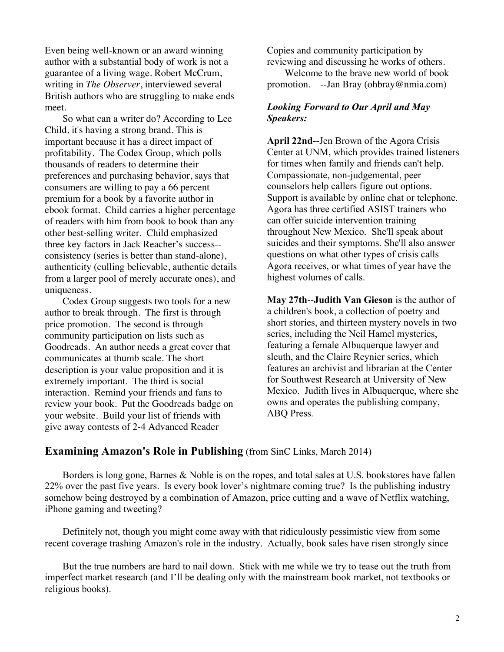Even being well-known or an award winning author with a substantial body of work is not a guarantee of a living wage. Robert McCrum, writing in *The Observer*, interviewed several British authors who are struggling to make ends meet.

So what can a writer do? According to Lee Child, it's having a strong brand. This is important because it has a direct impact of profitability. The Codex Group, which polls thousands of readers to determine their preferences and purchasing behavior, says that consumers are willing to pay a 66 percent premium for a book by a favorite author in ebook format. Child carries a higher percentage of readers with him from book to book than any other best-selling writer. Child emphasized three key factors in Jack Reacher's success- consistency (series is better than stand-alone), authenticity (culling believable, authentic details from a larger pool of merely accurate ones), and uniqueness.

Codex Group suggests two tools for a new author to break through. The first is through price promotion. The second is through community participation on lists such as Goodreads. An author needs a great cover that communicates at thumb scale. The short description is your value proposition and it is extremely important. The third is social interaction. Remind your friends and fans to review your book. Put the Goodreads badge on your website. Build your list of friends with give away contests of 2-4 Advanced Reader

Copies and community participation by reviewing and discussing he works of others.

Welcome to the brave new world of book promotion. --Jan Bray (ohbray@nmia.com)

### *Looking Forward to Our April and May Speakers:*

**April 22nd**--Jen Brown of the Agora Crisis Center at UNM, which provides trained listeners for times when family and friends can't help. Compassionate, non-judgemental, peer counselors help callers figure out options. Support is available by online chat or telephone. Agora has three certified ASIST trainers who can offer suicide intervention training throughout New Mexico. She'll speak about suicides and their symptoms. She'll also answer questions on what other types of crisis calls Agora receives, or what times of year have the highest volumes of calls.

**May 27th**--**Judith Van Gieson** is the author of a children's book, a collection of poetry and short stories, and thirteen mystery novels in two series, including the Neil Hamel mysteries, featuring a female Albuquerque lawyer and sleuth, and the Claire Reynier series, which features an archivist and librarian at the Center for Southwest Research at University of New Mexico. Judith lives in Albuquerque, where she owns and operates the publishing company, ABQ Press.

### **Examining Amazon's Role in Publishing** (from SinC Links, March 2014)

Borders is long gone, Barnes & Noble is on the ropes, and total sales at U.S. bookstores have fallen 22% over the past five years. Is every book lover's nightmare coming true? Is the publishing industry somehow being destroyed by a combination of Amazon, price cutting and a wave of Netflix watching, iPhone gaming and tweeting?

Definitely not, though you might come away with that ridiculously pessimistic view from some recent coverage trashing Amazon's role in the industry. Actually, book sales have risen strongly since

But the true numbers are hard to nail down. Stick with me while we try to tease out the truth from imperfect market research (and I'll be dealing only with the mainstream book market, not textbooks or religious books).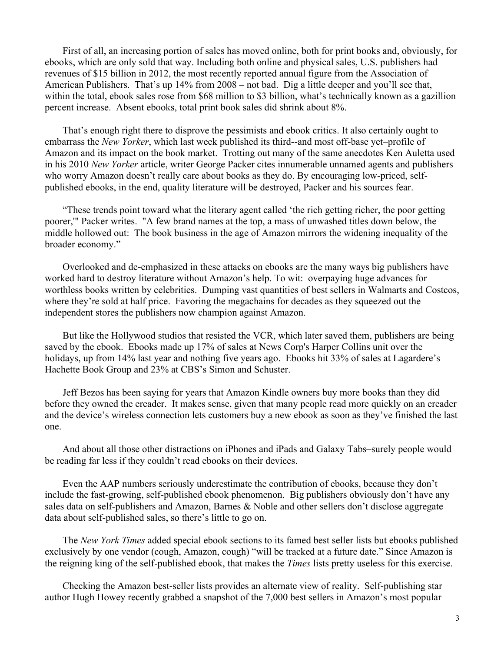First of all, an increasing portion of sales has moved online, both for print books and, obviously, for ebooks, which are only sold that way. Including both online and physical sales, U.S. publishers had revenues of \$15 billion in 2012, the most recently reported annual figure from the Association of American Publishers. That's up 14% from 2008 – not bad. Dig a little deeper and you'll see that, within the total, ebook sales rose from \$68 million to \$3 billion, what's technically known as a gazillion percent increase. Absent ebooks, total print book sales did shrink about 8%.

That's enough right there to disprove the pessimists and ebook critics. It also certainly ought to embarrass the *New Yorker*, which last week published its third--and most off-base yet–profile of Amazon and its impact on the book market. Trotting out many of the same anecdotes Ken Auletta used in his 2010 *New Yorker* article, writer George Packer cites innumerable unnamed agents and publishers who worry Amazon doesn't really care about books as they do. By encouraging low-priced, selfpublished ebooks, in the end, quality literature will be destroyed, Packer and his sources fear.

"These trends point toward what the literary agent called 'the rich getting richer, the poor getting poorer,'" Packer writes. "A few brand names at the top, a mass of unwashed titles down below, the middle hollowed out: The book business in the age of Amazon mirrors the widening inequality of the broader economy."

Overlooked and de-emphasized in these attacks on ebooks are the many ways big publishers have worked hard to destroy literature without Amazon's help. To wit: overpaying huge advances for worthless books written by celebrities. Dumping vast quantities of best sellers in Walmarts and Costcos, where they're sold at half price. Favoring the megachains for decades as they squeezed out the independent stores the publishers now champion against Amazon.

But like the Hollywood studios that resisted the VCR, which later saved them, publishers are being saved by the ebook. Ebooks made up 17% of sales at News Corp's Harper Collins unit over the holidays, up from 14% last year and nothing five years ago. Ebooks hit 33% of sales at Lagardere's Hachette Book Group and 23% at CBS's Simon and Schuster.

Jeff Bezos has been saying for years that Amazon Kindle owners buy more books than they did before they owned the ereader. It makes sense, given that many people read more quickly on an ereader and the device's wireless connection lets customers buy a new ebook as soon as they've finished the last one.

And about all those other distractions on iPhones and iPads and Galaxy Tabs–surely people would be reading far less if they couldn't read ebooks on their devices.

Even the AAP numbers seriously underestimate the contribution of ebooks, because they don't include the fast-growing, self-published ebook phenomenon. Big publishers obviously don't have any sales data on self-publishers and Amazon, Barnes & Noble and other sellers don't disclose aggregate data about self-published sales, so there's little to go on.

The *New York Times* added special ebook sections to its famed best seller lists but ebooks published exclusively by one vendor (cough, Amazon, cough) "will be tracked at a future date." Since Amazon is the reigning king of the self-published ebook, that makes the *Times* lists pretty useless for this exercise.

Checking the Amazon best-seller lists provides an alternate view of reality. Self-publishing star author Hugh Howey recently grabbed a snapshot of the 7,000 best sellers in Amazon's most popular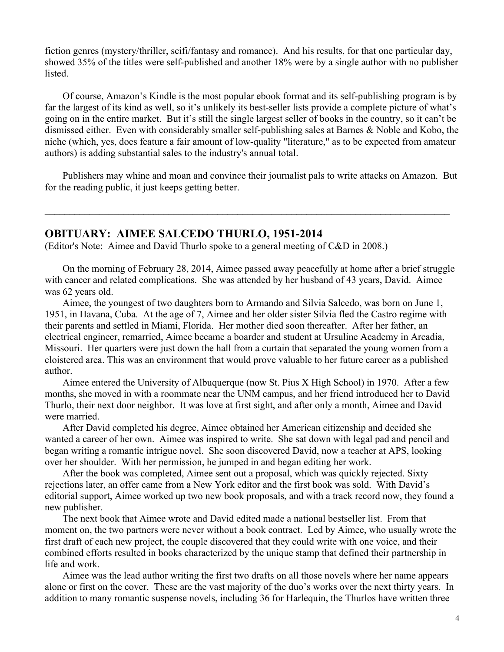fiction genres (mystery/thriller, scifi/fantasy and romance). And his results, for that one particular day, showed 35% of the titles were self-published and another 18% were by a single author with no publisher listed.

Of course, Amazon's Kindle is the most popular ebook format and its self-publishing program is by far the largest of its kind as well, so it's unlikely its best-seller lists provide a complete picture of what's going on in the entire market. But it's still the single largest seller of books in the country, so it can't be dismissed either. Even with considerably smaller self-publishing sales at Barnes & Noble and Kobo, the niche (which, yes, does feature a fair amount of low-quality "literature," as to be expected from amateur authors) is adding substantial sales to the industry's annual total.

Publishers may whine and moan and convince their journalist pals to write attacks on Amazon. But for the reading public, it just keeps getting better.

**\_\_\_\_\_\_\_\_\_\_\_\_\_\_\_\_\_\_\_\_\_\_\_\_\_\_\_\_\_\_\_\_\_\_\_\_\_\_\_\_\_\_\_\_\_\_\_\_\_\_\_\_\_\_\_\_\_\_\_\_\_\_\_\_\_\_\_\_\_\_\_\_\_\_\_\_\_\_\_\_\_\_**

# **OBITUARY: AIMEE SALCEDO THURLO, 1951-2014**

(Editor's Note: Aimee and David Thurlo spoke to a general meeting of C&D in 2008.)

On the morning of February 28, 2014, Aimee passed away peacefully at home after a brief struggle with cancer and related complications. She was attended by her husband of 43 years, David. Aimee was 62 years old.

Aimee, the youngest of two daughters born to Armando and Silvia Salcedo, was born on June 1, 1951, in Havana, Cuba. At the age of 7, Aimee and her older sister Silvia fled the Castro regime with their parents and settled in Miami, Florida. Her mother died soon thereafter. After her father, an electrical engineer, remarried, Aimee became a boarder and student at Ursuline Academy in Arcadia, Missouri. Her quarters were just down the hall from a curtain that separated the young women from a cloistered area. This was an environment that would prove valuable to her future career as a published author.

Aimee entered the University of Albuquerque (now St. Pius X High School) in 1970. After a few months, she moved in with a roommate near the UNM campus, and her friend introduced her to David Thurlo, their next door neighbor. It was love at first sight, and after only a month, Aimee and David were married.

After David completed his degree, Aimee obtained her American citizenship and decided she wanted a career of her own. Aimee was inspired to write. She sat down with legal pad and pencil and began writing a romantic intrigue novel. She soon discovered David, now a teacher at APS, looking over her shoulder. With her permission, he jumped in and began editing her work.

After the book was completed, Aimee sent out a proposal, which was quickly rejected. Sixty rejections later, an offer came from a New York editor and the first book was sold. With David's editorial support, Aimee worked up two new book proposals, and with a track record now, they found a new publisher.

The next book that Aimee wrote and David edited made a national bestseller list. From that moment on, the two partners were never without a book contract. Led by Aimee, who usually wrote the first draft of each new project, the couple discovered that they could write with one voice, and their combined efforts resulted in books characterized by the unique stamp that defined their partnership in life and work.

Aimee was the lead author writing the first two drafts on all those novels where her name appears alone or first on the cover. These are the vast majority of the duo's works over the next thirty years. In addition to many romantic suspense novels, including 36 for Harlequin, the Thurlos have written three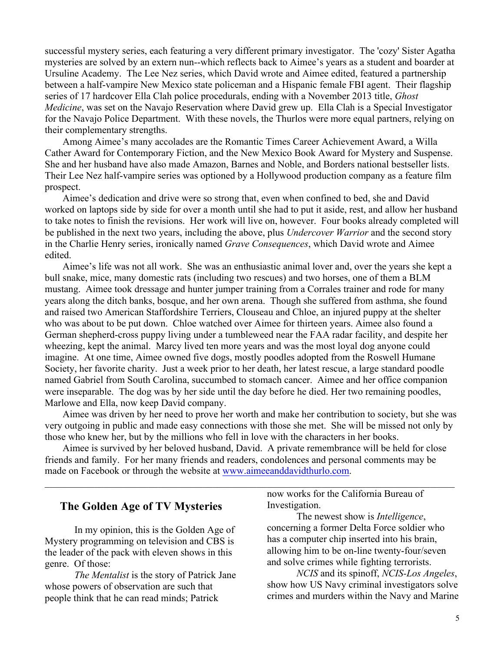successful mystery series, each featuring a very different primary investigator. The 'cozy' Sister Agatha mysteries are solved by an extern nun--which reflects back to Aimee's years as a student and boarder at Ursuline Academy. The Lee Nez series, which David wrote and Aimee edited, featured a partnership between a half-vampire New Mexico state policeman and a Hispanic female FBI agent. Their flagship series of 17 hardcover Ella Clah police procedurals, ending with a November 2013 title, *Ghost Medicine*, was set on the Navajo Reservation where David grew up. Ella Clah is a Special Investigator for the Navajo Police Department. With these novels, the Thurlos were more equal partners, relying on their complementary strengths.

Among Aimee's many accolades are the Romantic Times Career Achievement Award, a Willa Cather Award for Contemporary Fiction, and the New Mexico Book Award for Mystery and Suspense. She and her husband have also made Amazon, Barnes and Noble, and Borders national bestseller lists. Their Lee Nez half-vampire series was optioned by a Hollywood production company as a feature film prospect.

Aimee's dedication and drive were so strong that, even when confined to bed, she and David worked on laptops side by side for over a month until she had to put it aside, rest, and allow her husband to take notes to finish the revisions. Her work will live on, however. Four books already completed will be published in the next two years, including the above, plus *Undercover Warrior* and the second story in the Charlie Henry series, ironically named *Grave Consequences*, which David wrote and Aimee edited.

Aimee's life was not all work. She was an enthusiastic animal lover and, over the years she kept a bull snake, mice, many domestic rats (including two rescues) and two horses, one of them a BLM mustang. Aimee took dressage and hunter jumper training from a Corrales trainer and rode for many years along the ditch banks, bosque, and her own arena. Though she suffered from asthma, she found and raised two American Staffordshire Terriers, Clouseau and Chloe, an injured puppy at the shelter who was about to be put down. Chloe watched over Aimee for thirteen years. Aimee also found a German shepherd-cross puppy living under a tumbleweed near the FAA radar facility, and despite her wheezing, kept the animal. Marcy lived ten more years and was the most loyal dog anyone could imagine. At one time, Aimee owned five dogs, mostly poodles adopted from the Roswell Humane Society, her favorite charity. Just a week prior to her death, her latest rescue, a large standard poodle named Gabriel from South Carolina, succumbed to stomach cancer. Aimee and her office companion were inseparable. The dog was by her side until the day before he died. Her two remaining poodles, Marlowe and Ella, now keep David company.

Aimee was driven by her need to prove her worth and make her contribution to society, but she was very outgoing in public and made easy connections with those she met. She will be missed not only by those who knew her, but by the millions who fell in love with the characters in her books.

Aimee is survived by her beloved husband, David. A private remembrance will be held for close friends and family. For her many friends and readers, condolences and personal comments may be made on Facebook or through the website at www.aimeeanddavidthurlo.com.

 $\mathcal{L}_\mathcal{L} = \{ \mathcal{L}_\mathcal{L} = \{ \mathcal{L}_\mathcal{L} = \{ \mathcal{L}_\mathcal{L} = \{ \mathcal{L}_\mathcal{L} = \{ \mathcal{L}_\mathcal{L} = \{ \mathcal{L}_\mathcal{L} = \{ \mathcal{L}_\mathcal{L} = \{ \mathcal{L}_\mathcal{L} = \{ \mathcal{L}_\mathcal{L} = \{ \mathcal{L}_\mathcal{L} = \{ \mathcal{L}_\mathcal{L} = \{ \mathcal{L}_\mathcal{L} = \{ \mathcal{L}_\mathcal{L} = \{ \mathcal{L}_\mathcal{$ 

# **The Golden Age of TV Mysteries**

In my opinion, this is the Golden Age of Mystery programming on television and CBS is the leader of the pack with eleven shows in this genre. Of those:

*The Mentalist* is the story of Patrick Jane whose powers of observation are such that people think that he can read minds; Patrick

now works for the California Bureau of Investigation.

The newest show is *Intelligence*, concerning a former Delta Force soldier who has a computer chip inserted into his brain, allowing him to be on-line twenty-four/seven and solve crimes while fighting terrorists.

*NCIS* and its spinoff, *NCIS-Los Angeles*, show how US Navy criminal investigators solve crimes and murders within the Navy and Marine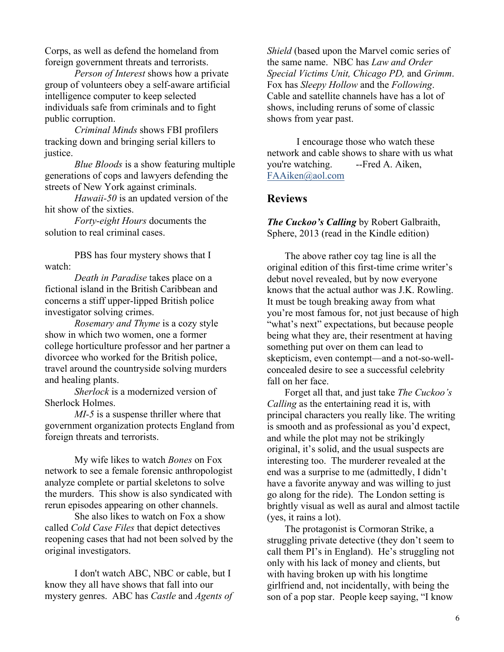Corps, as well as defend the homeland from foreign government threats and terrorists.

*Person of Interest* shows how a private group of volunteers obey a self-aware artificial intelligence computer to keep selected individuals safe from criminals and to fight public corruption.

*Criminal Minds* shows FBI profilers tracking down and bringing serial killers to justice.

*Blue Bloods* is a show featuring multiple generations of cops and lawyers defending the streets of New York against criminals.

*Hawaii-50* is an updated version of the hit show of the sixties.

*Forty-eight Hours* documents the solution to real criminal cases.

PBS has four mystery shows that I watch:

*Death in Paradise* takes place on a fictional island in the British Caribbean and concerns a stiff upper-lipped British police investigator solving crimes.

*Rosemary and Thyme* is a cozy style show in which two women, one a former college horticulture professor and her partner a divorcee who worked for the British police, travel around the countryside solving murders and healing plants.

*Sherlock* is a modernized version of Sherlock Holmes.

*MI-5* is a suspense thriller where that government organization protects England from foreign threats and terrorists.

My wife likes to watch *Bones* on Fox network to see a female forensic anthropologist analyze complete or partial skeletons to solve the murders. This show is also syndicated with rerun episodes appearing on other channels.

She also likes to watch on Fox a show called *Cold Case Files* that depict detectives reopening cases that had not been solved by the original investigators.

I don't watch ABC, NBC or cable, but I know they all have shows that fall into our mystery genres. ABC has *Castle* and *Agents of*  *Shield* (based upon the Marvel comic series of the same name. NBC has *Law and Order Special Victims Unit, Chicago PD,* and *Grimm*. Fox has *Sleepy Hollow* and the *Following*. Cable and satellite channels have has a lot of shows, including reruns of some of classic shows from year past.

I encourage those who watch these network and cable shows to share with us what you're watching. --Fred A. Aiken, FAAiken@aol.com

# **Reviews**

*The Cuckoo's Calling* by Robert Galbraith, Sphere, 2013 (read in the Kindle edition)

The above rather coy tag line is all the original edition of this first-time crime writer's debut novel revealed, but by now everyone knows that the actual author was J.K. Rowling. It must be tough breaking away from what you're most famous for, not just because of high "what's next" expectations, but because people being what they are, their resentment at having something put over on them can lead to skepticism, even contempt—and a not-so-wellconcealed desire to see a successful celebrity fall on her face.

Forget all that, and just take *The Cuckoo's Calling* as the entertaining read it is, with principal characters you really like. The writing is smooth and as professional as you'd expect, and while the plot may not be strikingly original, it's solid, and the usual suspects are interesting too. The murderer revealed at the end was a surprise to me (admittedly, I didn't have a favorite anyway and was willing to just go along for the ride). The London setting is brightly visual as well as aural and almost tactile (yes, it rains a lot).

The protagonist is Cormoran Strike, a struggling private detective (they don't seem to call them PI's in England). He's struggling not only with his lack of money and clients, but with having broken up with his longtime girlfriend and, not incidentally, with being the son of a pop star. People keep saying, "I know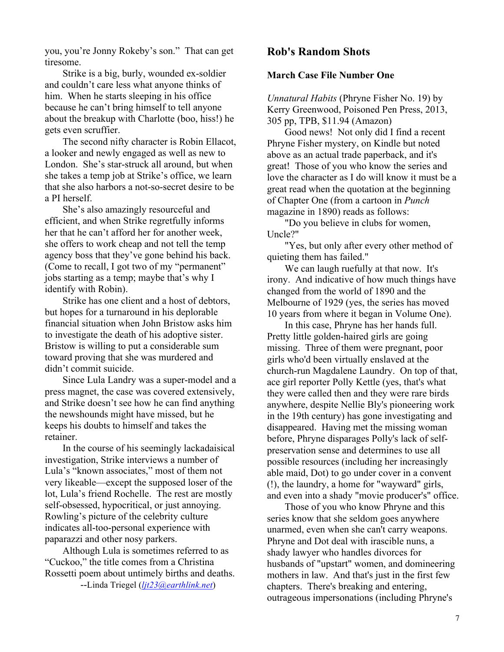you, you're Jonny Rokeby's son." That can get tiresome.

Strike is a big, burly, wounded ex-soldier and couldn't care less what anyone thinks of him. When he starts sleeping in his office because he can't bring himself to tell anyone about the breakup with Charlotte (boo, hiss!) he gets even scruffier.

The second nifty character is Robin Ellacot, a looker and newly engaged as well as new to London. She's star-struck all around, but when she takes a temp job at Strike's office, we learn that she also harbors a not-so-secret desire to be a PI herself.

She's also amazingly resourceful and efficient, and when Strike regretfully informs her that he can't afford her for another week, she offers to work cheap and not tell the temp agency boss that they've gone behind his back. (Come to recall, I got two of my "permanent" jobs starting as a temp; maybe that's why I identify with Robin).

Strike has one client and a host of debtors, but hopes for a turnaround in his deplorable financial situation when John Bristow asks him to investigate the death of his adoptive sister. Bristow is willing to put a considerable sum toward proving that she was murdered and didn't commit suicide.

Since Lula Landry was a super-model and a press magnet, the case was covered extensively, and Strike doesn't see how he can find anything the newshounds might have missed, but he keeps his doubts to himself and takes the retainer.

In the course of his seemingly lackadaisical investigation, Strike interviews a number of Lula's "known associates," most of them not very likeable—except the supposed loser of the lot, Lula's friend Rochelle. The rest are mostly self-obsessed, hypocritical, or just annoying. Rowling's picture of the celebrity culture indicates all-too-personal experience with paparazzi and other nosy parkers.

Although Lula is sometimes referred to as "Cuckoo," the title comes from a Christina Rossetti poem about untimely births and deaths. --Linda Triegel (*ljt23@earthlink.net*)

# **Rob's Random Shots**

### **March Case File Number One**

*Unnatural Habits* (Phryne Fisher No. 19) by Kerry Greenwood, Poisoned Pen Press, 2013, 305 pp, TPB, \$11.94 (Amazon)

Good news! Not only did I find a recent Phryne Fisher mystery, on Kindle but noted above as an actual trade paperback, and it's great! Those of you who know the series and love the character as I do will know it must be a great read when the quotation at the beginning of Chapter One (from a cartoon in *Punch* magazine in 1890) reads as follows:

"Do you believe in clubs for women, Uncle?"

"Yes, but only after every other method of quieting them has failed."

We can laugh ruefully at that now. It's irony. And indicative of how much things have changed from the world of 1890 and the Melbourne of 1929 (yes, the series has moved 10 years from where it began in Volume One).

In this case, Phryne has her hands full. Pretty little golden-haired girls are going missing. Three of them were pregnant, poor girls who'd been virtually enslaved at the church-run Magdalene Laundry. On top of that, ace girl reporter Polly Kettle (yes, that's what they were called then and they were rare birds anywhere, despite Nellie Bly's pioneering work in the 19th century) has gone investigating and disappeared. Having met the missing woman before, Phryne disparages Polly's lack of selfpreservation sense and determines to use all possible resources (including her increasingly able maid, Dot) to go under cover in a convent (!), the laundry, a home for "wayward" girls, and even into a shady "movie producer's" office.

Those of you who know Phryne and this series know that she seldom goes anywhere unarmed, even when she can't carry weapons. Phryne and Dot deal with irascible nuns, a shady lawyer who handles divorces for husbands of "upstart" women, and domineering mothers in law. And that's just in the first few chapters. There's breaking and entering, outrageous impersonations (including Phryne's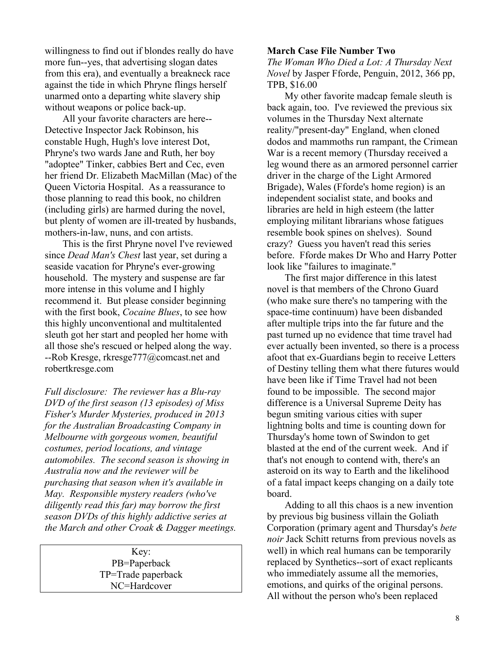willingness to find out if blondes really do have more fun--yes, that advertising slogan dates from this era), and eventually a breakneck race against the tide in which Phryne flings herself unarmed onto a departing white slavery ship without weapons or police back-up.

All your favorite characters are here-- Detective Inspector Jack Robinson, his constable Hugh, Hugh's love interest Dot, Phryne's two wards Jane and Ruth, her boy "adoptee" Tinker, cabbies Bert and Cec, even her friend Dr. Elizabeth MacMillan (Mac) of the Queen Victoria Hospital. As a reassurance to those planning to read this book, no children (including girls) are harmed during the novel, but plenty of women are ill-treated by husbands, mothers-in-law, nuns, and con artists.

This is the first Phryne novel I've reviewed since *Dead Man's Chest* last year, set during a seaside vacation for Phryne's ever-growing household. The mystery and suspense are far more intense in this volume and I highly recommend it. But please consider beginning with the first book, *Cocaine Blues*, to see how this highly unconventional and multitalented sleuth got her start and peopled her home with all those she's rescued or helped along the way. --Rob Kresge, rkresge777@comcast.net and robertkresge.com

*Full disclosure: The reviewer has a Blu-ray DVD of the first season (13 episodes) of Miss Fisher's Murder Mysteries, produced in 2013 for the Australian Broadcasting Company in Melbourne with gorgeous women, beautiful costumes, period locations, and vintage automobiles. The second season is showing in Australia now and the reviewer will be purchasing that season when it's available in May. Responsible mystery readers (who've diligently read this far) may borrow the first season DVDs of this highly addictive series at the March and other Croak & Dagger meetings.*

> Key: PB=Paperback TP=Trade paperback NC=Hardcover

#### **March Case File Number Two**

*The Woman Who Died a Lot: A Thursday Next Novel* by Jasper Fforde, Penguin, 2012, 366 pp, TPB, \$16.00

My other favorite madcap female sleuth is back again, too. I've reviewed the previous six volumes in the Thursday Next alternate reality/"present-day" England, when cloned dodos and mammoths run rampant, the Crimean War is a recent memory (Thursday received a leg wound there as an armored personnel carrier driver in the charge of the Light Armored Brigade), Wales (Fforde's home region) is an independent socialist state, and books and libraries are held in high esteem (the latter employing militant librarians whose fatigues resemble book spines on shelves). Sound crazy? Guess you haven't read this series before. Fforde makes Dr Who and Harry Potter look like "failures to imaginate."

The first major difference in this latest novel is that members of the Chrono Guard (who make sure there's no tampering with the space-time continuum) have been disbanded after multiple trips into the far future and the past turned up no evidence that time travel had ever actually been invented, so there is a process afoot that ex-Guardians begin to receive Letters of Destiny telling them what there futures would have been like if Time Travel had not been found to be impossible. The second major difference is a Universal Supreme Deity has begun smiting various cities with super lightning bolts and time is counting down for Thursday's home town of Swindon to get blasted at the end of the current week. And if that's not enough to contend with, there's an asteroid on its way to Earth and the likelihood of a fatal impact keeps changing on a daily tote board.

Adding to all this chaos is a new invention by previous big business villain the Goliath Corporation (primary agent and Thursday's *bete noir* Jack Schitt returns from previous novels as well) in which real humans can be temporarily replaced by Synthetics--sort of exact replicants who immediately assume all the memories, emotions, and quirks of the original persons. All without the person who's been replaced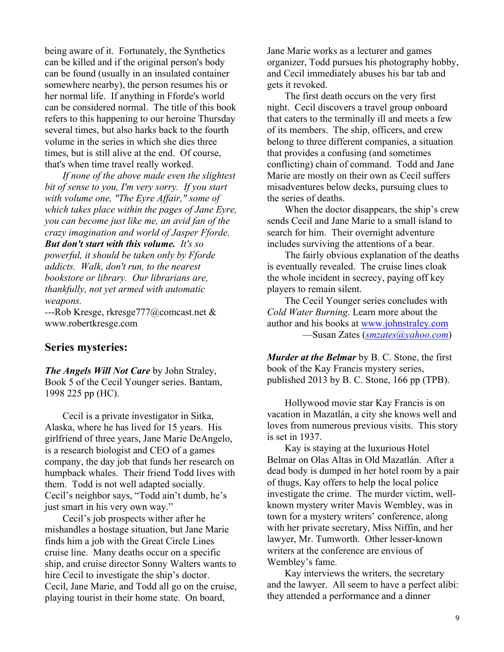being aware of it. Fortunately, the Synthetics can be killed and if the original person's body can be found (usually in an insulated container somewhere nearby), the person resumes his or her normal life. If anything in Fforde's world can be considered normal. The title of this book refers to this happening to our heroine Thursday several times, but also harks back to the fourth volume in the series in which she dies three times, but is still alive at the end. Of course, that's when time travel really worked.

*If none of the above made even the slightest bit of sense to you, I'm very sorry. If you start with volume one, "The Eyre Affair," some of which takes place within the pages of Jane Eyre, you can become just like me, an avid fan of the crazy imagination and world of Jasper Fforde. But don't start with this volume. It's so* 

*powerful, it should be taken only by Fforde addicts. Walk, don't run, to the nearest bookstore or library. Our librarians are, thankfully, not yet armed with automatic weapons.*

*-*--Rob Kresge, rkresge777@comcast.net & www.robertkresge.com

### **Series mysteries:**

*The Angels Will Not Care* by John Straley, Book 5 of the Cecil Younger series. Bantam, 1998 225 pp (HC).

Cecil is a private investigator in Sitka, Alaska, where he has lived for 15 years. His girlfriend of three years, Jane Marie DeAngelo, is a research biologist and CEO of a games company, the day job that funds her research on humpback whales. Their friend Todd lives with them. Todd is not well adapted socially. Cecil's neighbor says, "Todd ain't dumb, he's just smart in his very own way."

Cecil's job prospects wither after he mishandles a hostage situation, but Jane Marie finds him a job with the Great Circle Lines cruise line. Many deaths occur on a specific ship, and cruise director Sonny Walters wants to hire Cecil to investigate the ship's doctor. Cecil, Jane Marie, and Todd all go on the cruise, playing tourist in their home state. On board,

Jane Marie works as a lecturer and games organizer, Todd pursues his photography hobby, and Cecil immediately abuses his bar tab and gets it revoked.

The first death occurs on the very first night. Cecil discovers a travel group onboard that caters to the terminally ill and meets a few of its members. The ship, officers, and crew belong to three different companies, a situation that provides a confusing (and sometimes conflicting) chain of command. Todd and Jane Marie are mostly on their own as Cecil suffers misadventures below decks, pursuing clues to the series of deaths.

When the doctor disappears, the ship's crew sends Cecil and Jane Marie to a small island to search for him. Their overnight adventure includes surviving the attentions of a bear.

The fairly obvious explanation of the deaths is eventually revealed. The cruise lines cloak the whole incident in secrecy, paying off key players to remain silent.

The Cecil Younger series concludes with *Cold Water Burning*. Learn more about the author and his books at www.johnstraley.com —Susan Zates (*smzates@yahoo.com*)

*Murder at the Belmar* by B. C. Stone, the first book of the Kay Francis mystery series, published 2013 by B. C. Stone, 166 pp (TPB).

Hollywood movie star Kay Francis is on vacation in Mazatlán, a city she knows well and loves from numerous previous visits. This story is set in 1937.

Kay is staying at the luxurious Hotel Belmar on Olas Altas in Old Mazatlán. After a dead body is dumped in her hotel room by a pair of thugs, Kay offers to help the local police investigate the crime. The murder victim, wellknown mystery writer Mavis Wembley, was in town for a mystery writers' conference, along with her private secretary, Miss Niffin, and her lawyer, Mr. Tumworth. Other lesser-known writers at the conference are envious of Wembley's fame.

Kay interviews the writers, the secretary and the lawyer. All seem to have a perfect alibi: they attended a performance and a dinner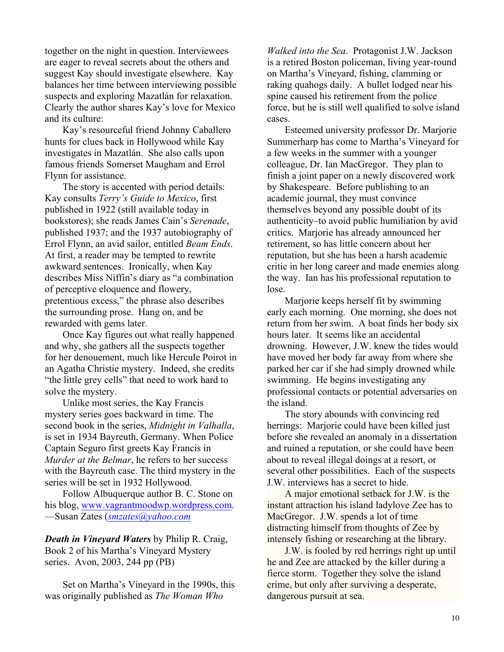together on the night in question. Interviewees are eager to reveal secrets about the others and suggest Kay should investigate elsewhere. Kay balances her time between interviewing possible suspects and exploring Mazatlán for relaxation. Clearly the author shares Kay's love for Mexico and its culture:

Kay's resourceful friend Johnny Caballero hunts for clues back in Hollywood while Kay investigates in Mazatlán. She also calls upon famous friends Somerset Maugham and Errol Flynn for assistance.

The story is accented with period details: Kay consults *Terry's Guide to Mexico*, first published in 1922 (still available today in bookstores); she reads James Cain's *Serenade*, published 1937; and the 1937 autobiography of Errol Flynn, an avid sailor, entitled *Beam Ends*. At first, a reader may be tempted to rewrite awkward sentences. Ironically, when Kay describes Miss Niffin's diary as "a combination of perceptive eloquence and flowery, pretentious excess," the phrase also describes the surrounding prose. Hang on, and be rewarded with gems later.

Once Kay figures out what really happened and why, she gathers all the suspects together for her denouement, much like Hercule Poirot in an Agatha Christie mystery. Indeed, she credits "the little grey cells" that need to work hard to solve the mystery.

Unlike most series, the Kay Francis mystery series goes backward in time. The second book in the series, *Midnight in Valhalla*, is set in 1934 Bayreuth, Germany. When Police Captain Seguro first greets Kay Francis in *Murder at the Belmar*, he refers to her success with the Bayreuth case. The third mystery in the series will be set in 1932 Hollywood.

Follow Albuquerque author B. C. Stone on his blog, www.vagrantmoodwp.wordpress.com. —Susan Zates (*smzates@yahoo.com*

*Death in Vineyard Waters* by Philip R. Craig, Book 2 of his Martha's Vineyard Mystery series. Avon, 2003, 244 pp (PB)

Set on Martha's Vineyard in the 1990s, this was originally published as *The Woman Who* 

*Walked into the Sea*. Protagonist J.W. Jackson is a retired Boston policeman, living year-round on Martha's Vineyard, fishing, clamming or raking quahogs daily. A bullet lodged near his spine caused his retirement from the police force, but he is still well qualified to solve island cases.

Esteemed university professor Dr. Marjorie Summerharp has come to Martha's Vineyard for a few weeks in the summer with a younger colleague, Dr. Ian MacGregor. They plan to finish a joint paper on a newly discovered work by Shakespeare. Before publishing to an academic journal, they must convince themselves beyond any possible doubt of its authenticity–to avoid public humiliation by avid critics. Marjorie has already announced her retirement, so has little concern about her reputation, but she has been a harsh academic critic in her long career and made enemies along the way. Ian has his professional reputation to lose.

Marjorie keeps herself fit by swimming early each morning. One morning, she does not return from her swim. A boat finds her body six hours later. It seems like an accidental drowning. However, J.W. knew the tides would have moved her body far away from where she parked her car if she had simply drowned while swimming. He begins investigating any professional contacts or potential adversaries on the island.

The story abounds with convincing red herrings: Marjorie could have been killed just before she revealed an anomaly in a dissertation and ruined a reputation, or she could have been about to reveal illegal doings at a resort, or several other possibilities. Each of the suspects J.W. interviews has a secret to hide.

A major emotional setback for J.W. is the instant attraction his island ladylove Zee has to MacGregor. J.W. spends a lot of time distracting himself from thoughts of Zee by intensely fishing or researching at the library.

J.W. is fooled by red herrings right up until he and Zee are attacked by the killer during a fierce storm. Together they solve the island crime, but only after surviving a desperate, dangerous pursuit at sea.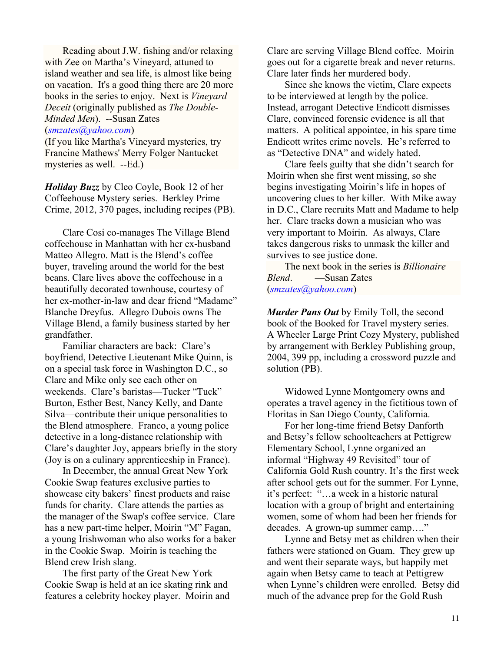Reading about J.W. fishing and/or relaxing with Zee on Martha's Vineyard, attuned to island weather and sea life, is almost like being on vacation. It's a good thing there are 20 more books in the series to enjoy. Next is *Vineyard Deceit* (originally published as *The Double-Minded Men*). --Susan Zates

# (*smzates@yahoo.com*)

(If you like Martha's Vineyard mysteries, try Francine Mathews' Merry Folger Nantucket mysteries as well. --Ed.)

*Holiday Buzz* by Cleo Coyle, Book 12 of her Coffeehouse Mystery series. Berkley Prime Crime, 2012, 370 pages, including recipes (PB).

Clare Cosi co-manages The Village Blend coffeehouse in Manhattan with her ex-husband Matteo Allegro. Matt is the Blend's coffee buyer, traveling around the world for the best beans. Clare lives above the coffeehouse in a beautifully decorated townhouse, courtesy of her ex-mother-in-law and dear friend "Madame" Blanche Dreyfus. Allegro Dubois owns The Village Blend, a family business started by her grandfather.

Familiar characters are back: Clare's boyfriend, Detective Lieutenant Mike Quinn, is on a special task force in Washington D.C., so Clare and Mike only see each other on weekends. Clare's baristas—Tucker "Tuck" Burton, Esther Best, Nancy Kelly, and Dante Silva—contribute their unique personalities to the Blend atmosphere. Franco, a young police detective in a long-distance relationship with Clare's daughter Joy, appears briefly in the story (Joy is on a culinary apprenticeship in France).

In December, the annual Great New York Cookie Swap features exclusive parties to showcase city bakers' finest products and raise funds for charity. Clare attends the parties as the manager of the Swap's coffee service. Clare has a new part-time helper, Moirin "M" Fagan, a young Irishwoman who also works for a baker in the Cookie Swap. Moirin is teaching the Blend crew Irish slang.

The first party of the Great New York Cookie Swap is held at an ice skating rink and features a celebrity hockey player. Moirin and Clare are serving Village Blend coffee. Moirin goes out for a cigarette break and never returns. Clare later finds her murdered body.

Since she knows the victim, Clare expects to be interviewed at length by the police. Instead, arrogant Detective Endicott dismisses Clare, convinced forensic evidence is all that matters. A political appointee, in his spare time Endicott writes crime novels. He's referred to as "Detective DNA" and widely hated.

Clare feels guilty that she didn't search for Moirin when she first went missing, so she begins investigating Moirin's life in hopes of uncovering clues to her killer. With Mike away in D.C., Clare recruits Matt and Madame to help her. Clare tracks down a musician who was very important to Moirin. As always, Clare takes dangerous risks to unmask the killer and survives to see justice done.

The next book in the series is *Billionaire Blend*. —Susan Zates (*smzates@yahoo.com*)

*Murder Pans Out* by Emily Toll, the second book of the Booked for Travel mystery series. A Wheeler Large Print Cozy Mystery, published by arrangement with Berkley Publishing group, 2004, 399 pp, including a crossword puzzle and solution (PB).

Widowed Lynne Montgomery owns and operates a travel agency in the fictitious town of Floritas in San Diego County, California.

For her long-time friend Betsy Danforth and Betsy's fellow schoolteachers at Pettigrew Elementary School, Lynne organized an informal "Highway 49 Revisited" tour of California Gold Rush country. It's the first week after school gets out for the summer. For Lynne, it's perfect: "…a week in a historic natural location with a group of bright and entertaining women, some of whom had been her friends for decades. A grown-up summer camp…."

Lynne and Betsy met as children when their fathers were stationed on Guam. They grew up and went their separate ways, but happily met again when Betsy came to teach at Pettigrew when Lynne's children were enrolled. Betsy did much of the advance prep for the Gold Rush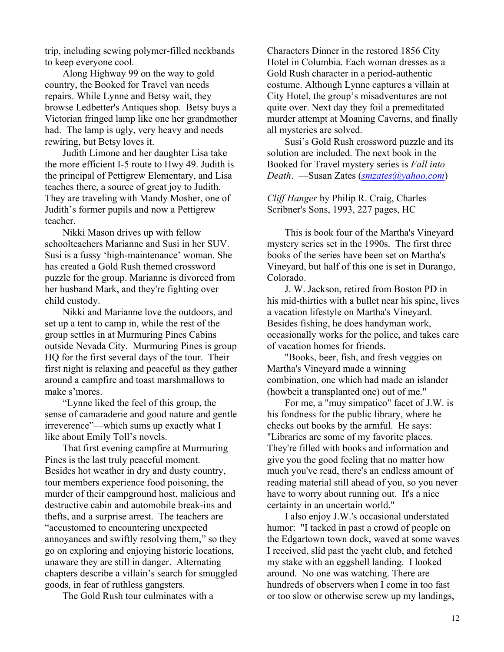trip, including sewing polymer-filled neckbands to keep everyone cool.

Along Highway 99 on the way to gold country, the Booked for Travel van needs repairs. While Lynne and Betsy wait, they browse Ledbetter's Antiques shop. Betsy buys a Victorian fringed lamp like one her grandmother had. The lamp is ugly, very heavy and needs rewiring, but Betsy loves it.

Judith Limone and her daughter Lisa take the more efficient I-5 route to Hwy 49. Judith is the principal of Pettigrew Elementary, and Lisa teaches there, a source of great joy to Judith. They are traveling with Mandy Mosher, one of Judith's former pupils and now a Pettigrew teacher.

Nikki Mason drives up with fellow schoolteachers Marianne and Susi in her SUV. Susi is a fussy 'high-maintenance' woman. She has created a Gold Rush themed crossword puzzle for the group. Marianne is divorced from her husband Mark, and they're fighting over child custody.

Nikki and Marianne love the outdoors, and set up a tent to camp in, while the rest of the group settles in at Murmuring Pines Cabins outside Nevada City. Murmuring Pines is group HQ for the first several days of the tour. Their first night is relaxing and peaceful as they gather around a campfire and toast marshmallows to make s'mores.

"Lynne liked the feel of this group, the sense of camaraderie and good nature and gentle irreverence"—which sums up exactly what I like about Emily Toll's novels.

That first evening campfire at Murmuring Pines is the last truly peaceful moment. Besides hot weather in dry and dusty country, tour members experience food poisoning, the murder of their campground host, malicious and destructive cabin and automobile break-ins and thefts, and a surprise arrest. The teachers are "accustomed to encountering unexpected annoyances and swiftly resolving them," so they go on exploring and enjoying historic locations, unaware they are still in danger. Alternating chapters describe a villain's search for smuggled goods, in fear of ruthless gangsters.

The Gold Rush tour culminates with a

Characters Dinner in the restored 1856 City Hotel in Columbia. Each woman dresses as a Gold Rush character in a period-authentic costume. Although Lynne captures a villain at City Hotel, the group's misadventures are not quite over. Next day they foil a premeditated murder attempt at Moaning Caverns, and finally all mysteries are solved.

Susi's Gold Rush crossword puzzle and its solution are included. The next book in the Booked for Travel mystery series is *Fall into Death*. —Susan Zates (*smzates@yahoo.com*)

*Cliff Hanger* by Philip R. Craig, Charles Scribner's Sons, 1993, 227 pages, HC

This is book four of the Martha's Vineyard mystery series set in the 1990s. The first three books of the series have been set on Martha's Vineyard, but half of this one is set in Durango, Colorado.

J. W. Jackson, retired from Boston PD in his mid-thirties with a bullet near his spine, lives a vacation lifestyle on Martha's Vineyard. Besides fishing, he does handyman work, occasionally works for the police, and takes care of vacation homes for friends.

"Books, beer, fish, and fresh veggies on Martha's Vineyard made a winning combination, one which had made an islander (howbeit a transplanted one) out of me."

For me, a "muy simpatico" facet of J.W. is his fondness for the public library, where he checks out books by the armful. He says: "Libraries are some of my favorite places. They're filled with books and information and give you the good feeling that no matter how much you've read, there's an endless amount of reading material still ahead of you, so you never have to worry about running out. It's a nice certainty in an uncertain world."

I also enjoy J.W.'s occasional understated humor: "I tacked in past a crowd of people on the Edgartown town dock, waved at some waves I received, slid past the yacht club, and fetched my stake with an eggshell landing. I looked around. No one was watching. There are hundreds of observers when I come in too fast or too slow or otherwise screw up my landings,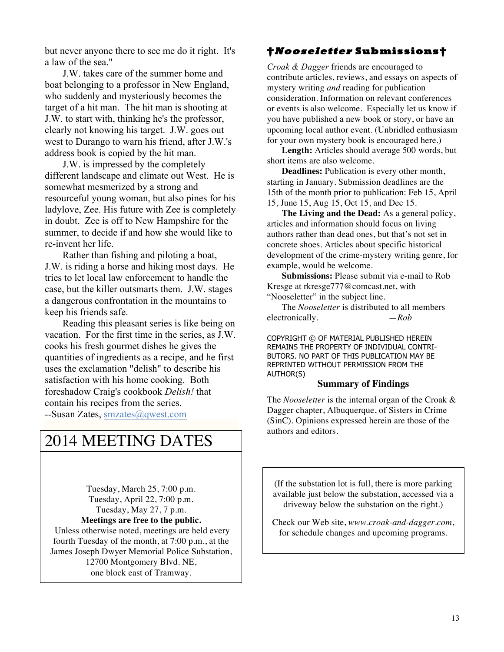but never anyone there to see me do it right. It's a law of the sea."

J.W. takes care of the summer home and boat belonging to a professor in New England, who suddenly and mysteriously becomes the target of a hit man. The hit man is shooting at J.W. to start with, thinking he's the professor, clearly not knowing his target. J.W. goes out west to Durango to warn his friend, after J.W.'s address book is copied by the hit man.

J.W. is impressed by the completely different landscape and climate out West. He is somewhat mesmerized by a strong and resourceful young woman, but also pines for his ladylove, Zee. His future with Zee is completely in doubt. Zee is off to New Hampshire for the summer, to decide if and how she would like to re-invent her life.

Rather than fishing and piloting a boat, J.W. is riding a horse and hiking most days. He tries to let local law enforcement to handle the case, but the killer outsmarts them. J.W. stages a dangerous confrontation in the mountains to keep his friends safe.

Reading this pleasant series is like being on vacation. For the first time in the series, as J.W. cooks his fresh gourmet dishes he gives the quantities of ingredients as a recipe, and he first uses the exclamation "delish" to describe his satisfaction with his home cooking. Both foreshadow Craig's cookbook *Delish!* that contain his recipes from the series. --Susan Zates, smzates@qwest.com

# 2014 MEETING DATES

Tuesday, March 25, 7:00 p.m. Tuesday, April 22, 7:00 p.m. Tuesday, May 27, 7 p.m. **Meetings are free to the public.**

Unless otherwise noted, meetings are held every fourth Tuesday of the month, at 7:00 p.m., at the James Joseph Dwyer Memorial Police Substation, 12700 Montgomery Blvd. NE, one block east of Tramway.

# **†Nooseletter Submissions†**

*Croak & Dagger* friends are encouraged to contribute articles, reviews, and essays on aspects of mystery writing *and* reading for publication consideration. Information on relevant conferences or events is also welcome. Especially let us know if you have published a new book or story, or have an upcoming local author event. (Unbridled enthusiasm for your own mystery book is encouraged here.)

**Length:** Articles should average 500 words, but short items are also welcome.

**Deadlines:** Publication is every other month, starting in January. Submission deadlines are the 15th of the month prior to publication: Feb 15, April 15, June 15, Aug 15, Oct 15, and Dec 15.

**The Living and the Dead:** As a general policy, articles and information should focus on living authors rather than dead ones, but that's not set in concrete shoes. Articles about specific historical development of the crime-mystery writing genre, for example, would be welcome.

**Submissions:** Please submit via e-mail to Rob Kresge at rkresge777@comcast.net, with "Nooseletter" in the subject line.

The *Nooseletter* is distributed to all members electronically.  $-Rob$ 

COPYRIGHT © OF MATERIAL PUBLISHED HEREIN REMAINS THE PROPERTY OF INDIVIDUAL CONTRI-BUTORS. NO PART OF THIS PUBLICATION MAY BE REPRINTED WITHOUT PERMISSION FROM THE AUTHOR(S)

#### **Summary of Findings**

The *Nooseletter* is the internal organ of the Croak & Dagger chapter, Albuquerque, of Sisters in Crime (SinC). Opinions expressed herein are those of the authors and editors.

(If the substation lot is full, there is more parking available just below the substation, accessed via a driveway below the substation on the right.)

Check our Web site, *www.croak-and-dagger.com*, for schedule changes and upcoming programs.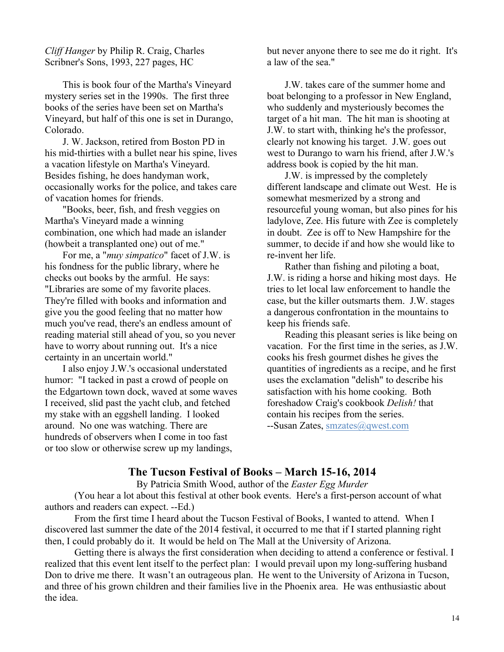*Cliff Hanger* by Philip R. Craig, Charles Scribner's Sons, 1993, 227 pages, HC

This is book four of the Martha's Vineyard mystery series set in the 1990s. The first three books of the series have been set on Martha's Vineyard, but half of this one is set in Durango, Colorado.

J. W. Jackson, retired from Boston PD in his mid-thirties with a bullet near his spine, lives a vacation lifestyle on Martha's Vineyard. Besides fishing, he does handyman work, occasionally works for the police, and takes care of vacation homes for friends.

"Books, beer, fish, and fresh veggies on Martha's Vineyard made a winning combination, one which had made an islander (howbeit a transplanted one) out of me."

For me, a "*muy simpatico*" facet of J.W. is his fondness for the public library, where he checks out books by the armful. He says: "Libraries are some of my favorite places. They're filled with books and information and give you the good feeling that no matter how much you've read, there's an endless amount of reading material still ahead of you, so you never have to worry about running out. It's a nice certainty in an uncertain world."

I also enjoy J.W.'s occasional understated humor: "I tacked in past a crowd of people on the Edgartown town dock, waved at some waves I received, slid past the yacht club, and fetched my stake with an eggshell landing. I looked around. No one was watching. There are hundreds of observers when I come in too fast or too slow or otherwise screw up my landings,

but never anyone there to see me do it right. It's a law of the sea."

J.W. takes care of the summer home and boat belonging to a professor in New England, who suddenly and mysteriously becomes the target of a hit man. The hit man is shooting at J.W. to start with, thinking he's the professor, clearly not knowing his target. J.W. goes out west to Durango to warn his friend, after J.W.'s address book is copied by the hit man.

J.W. is impressed by the completely different landscape and climate out West. He is somewhat mesmerized by a strong and resourceful young woman, but also pines for his ladylove, Zee. His future with Zee is completely in doubt. Zee is off to New Hampshire for the summer, to decide if and how she would like to re-invent her life.

Rather than fishing and piloting a boat, J.W. is riding a horse and hiking most days. He tries to let local law enforcement to handle the case, but the killer outsmarts them. J.W. stages a dangerous confrontation in the mountains to keep his friends safe.

Reading this pleasant series is like being on vacation. For the first time in the series, as J.W. cooks his fresh gourmet dishes he gives the quantities of ingredients as a recipe, and he first uses the exclamation "delish" to describe his satisfaction with his home cooking. Both foreshadow Craig's cookbook *Delish!* that contain his recipes from the series. --Susan Zates, smzates@qwest.com

# **The Tucson Festival of Books – March 15-16, 2014**

#### By Patricia Smith Wood, author of the *Easter Egg Murder*

(You hear a lot about this festival at other book events. Here's a first-person account of what authors and readers can expect. --Ed.)

From the first time I heard about the Tucson Festival of Books, I wanted to attend. When I discovered last summer the date of the 2014 festival, it occurred to me that if I started planning right then, I could probably do it. It would be held on The Mall at the University of Arizona.

Getting there is always the first consideration when deciding to attend a conference or festival. I realized that this event lent itself to the perfect plan: I would prevail upon my long-suffering husband Don to drive me there. It wasn't an outrageous plan. He went to the University of Arizona in Tucson, and three of his grown children and their families live in the Phoenix area. He was enthusiastic about the idea.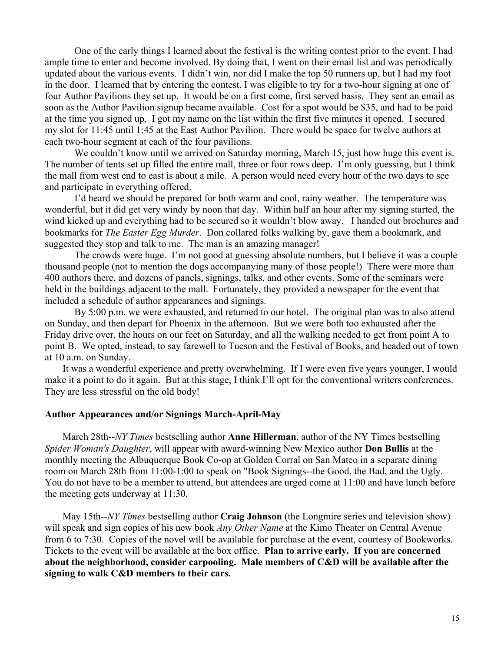One of the early things I learned about the festival is the writing contest prior to the event. I had ample time to enter and become involved. By doing that, I went on their email list and was periodically updated about the various events. I didn't win, nor did I make the top 50 runners up, but I had my foot in the door. I learned that by entering the contest, I was eligible to try for a two-hour signing at one of four Author Pavilions they set up. It would be on a first come, first served basis. They sent an email as soon as the Author Pavilion signup became available. Cost for a spot would be \$35, and had to be paid at the time you signed up. I got my name on the list within the first five minutes it opened. I secured my slot for 11:45 until 1:45 at the East Author Pavilion. There would be space for twelve authors at each two-hour segment at each of the four pavilions.

We couldn't know until we arrived on Saturday morning, March 15, just how huge this event is. The number of tents set up filled the entire mall, three or four rows deep. I'm only guessing, but I think the mall from west end to east is about a mile. A person would need every hour of the two days to see and participate in everything offered.

I'd heard we should be prepared for both warm and cool, rainy weather. The temperature was wonderful, but it did get very windy by noon that day. Within half an hour after my signing started, the wind kicked up and everything had to be secured so it wouldn't blow away. I handed out brochures and bookmarks for *The Easter Egg Murder*. Don collared folks walking by, gave them a bookmark, and suggested they stop and talk to me. The man is an amazing manager!

The crowds were huge. I'm not good at guessing absolute numbers, but I believe it was a couple thousand people (not to mention the dogs accompanying many of those people!) There were more than 400 authors there, and dozens of panels, signings, talks, and other events. Some of the seminars were held in the buildings adjacent to the mall. Fortunately, they provided a newspaper for the event that included a schedule of author appearances and signings.

By 5:00 p.m. we were exhausted, and returned to our hotel. The original plan was to also attend on Sunday, and then depart for Phoenix in the afternoon. But we were both too exhausted after the Friday drive over, the hours on our feet on Saturday, and all the walking needed to get from point A to point B. We opted, instead, to say farewell to Tucson and the Festival of Books, and headed out of town at 10 a.m. on Sunday.

It was a wonderful experience and pretty overwhelming. If I were even five years younger, I would make it a point to do it again. But at this stage, I think I'll opt for the conventional writers conferences. They are less stressful on the old body!

### **Author Appearances and/or Signings March-April-May**

March 28th--*NY Times* bestselling author **Anne Hillerman**, author of the NY Times bestselling *Spider Woman's Daughter*, will appear with award-winning New Mexico author **Don Bullis** at the monthly meeting the Albuquerque Book Co-op at Golden Corral on San Mateo in a separate dining room on March 28th from 11:00-1:00 to speak on "Book Signings--the Good, the Bad, and the Ugly. You do not have to be a member to attend, but attendees are urged come at 11:00 and have lunch before the meeting gets underway at 11:30.

May 15th--*NY Times* bestselling author **Craig Johnson** (the Longmire series and television show) will speak and sign copies of his new book *Any Other Name* at the Kimo Theater on Central Avenue from 6 to 7:30. Copies of the novel will be available for purchase at the event, courtesy of Bookworks. Tickets to the event will be available at the box office. **Plan to arrive early. If you are concerned about the neighborhood, consider carpooling. Male members of C&D will be available after the signing to walk C&D members to their cars.**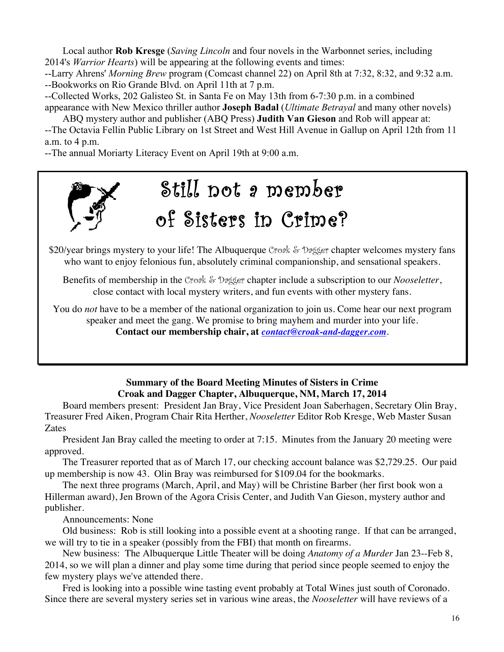Local author **Rob Kresge** (*Saving Lincoln* and four novels in the Warbonnet series, including 2014's *Warrior Hearts*) will be appearing at the following events and times:

--Larry Ahrens' *Morning Brew* program (Comcast channel 22) on April 8th at 7:32, 8:32, and 9:32 a.m. --Bookworks on Rio Grande Blvd. on April 11th at 7 p.m.

--Collected Works, 202 Galisteo St. in Santa Fe on May 13th from 6-7:30 p.m. in a combined appearance with New Mexico thriller author **Joseph Badal** (*Ultimate Betrayal* and many other novels)

ABQ mystery author and publisher (ABQ Press) **Judith Van Gieson** and Rob will appear at: --The Octavia Fellin Public Library on 1st Street and West Hill Avenue in Gallup on April 12th from 11 a.m. to 4 p.m.

--The annual Moriarty Literacy Event on April 19th at 9:00 a.m.



\$20/year brings mystery to your life! The Albuquerque Croak & Dagger chapter welcomes mystery fans who want to enjoy felonious fun, absolutely criminal companionship, and sensational speakers.

Benefits of membership in the Croak & Dagger chapter include a subscription to our *Nooseletter*, close contact with local mystery writers, and fun events with other mystery fans.

You do *not* have to be a member of the national organization to join us. Come hear our next program speaker and meet the gang. We promise to bring mayhem and murder into your life. **Contact our membership chair, at** *contact@croak-and-dagger.com*.

# **Summary of the Board Meeting Minutes of Sisters in Crime Croak and Dagger Chapter, Albuquerque, NM, March 17, 2014**

Board members present: President Jan Bray, Vice President Joan Saberhagen, Secretary Olin Bray, Treasurer Fred Aiken, Program Chair Rita Herther, *Nooseletter* Editor Rob Kresge, Web Master Susan Zates

President Jan Bray called the meeting to order at 7:15. Minutes from the January 20 meeting were approved.

The Treasurer reported that as of March 17, our checking account balance was \$2,729.25. Our paid up membership is now 43. Olin Bray was reimbursed for \$109.04 for the bookmarks.

The next three programs (March, April, and May) will be Christine Barber (her first book won a Hillerman award), Jen Brown of the Agora Crisis Center, and Judith Van Gieson, mystery author and publisher.

Announcements: None

Old business: Rob is still looking into a possible event at a shooting range. If that can be arranged, we will try to tie in a speaker (possibly from the FBI) that month on firearms.

New business: The Albuquerque Little Theater will be doing *Anatomy of a Murder* Jan 23--Feb 8, 2014, so we will plan a dinner and play some time during that period since people seemed to enjoy the few mystery plays we've attended there.

Fred is looking into a possible wine tasting event probably at Total Wines just south of Coronado. Since there are several mystery series set in various wine areas, the *Nooseletter* will have reviews of a